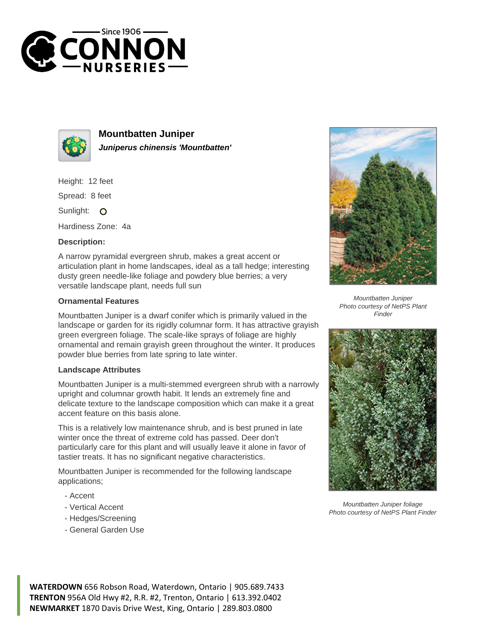



**Mountbatten Juniper Juniperus chinensis 'Mountbatten'**

Height: 12 feet

Spread: 8 feet

Sunlight: O

Hardiness Zone: 4a

## **Description:**

A narrow pyramidal evergreen shrub, makes a great accent or articulation plant in home landscapes, ideal as a tall hedge; interesting dusty green needle-like foliage and powdery blue berries; a very versatile landscape plant, needs full sun

## **Ornamental Features**

Mountbatten Juniper is a dwarf conifer which is primarily valued in the landscape or garden for its rigidly columnar form. It has attractive grayish green evergreen foliage. The scale-like sprays of foliage are highly ornamental and remain grayish green throughout the winter. It produces powder blue berries from late spring to late winter.

## **Landscape Attributes**

Mountbatten Juniper is a multi-stemmed evergreen shrub with a narrowly upright and columnar growth habit. It lends an extremely fine and delicate texture to the landscape composition which can make it a great accent feature on this basis alone.

This is a relatively low maintenance shrub, and is best pruned in late winter once the threat of extreme cold has passed. Deer don't particularly care for this plant and will usually leave it alone in favor of tastier treats. It has no significant negative characteristics.

Mountbatten Juniper is recommended for the following landscape applications;

- Accent
- Vertical Accent
- Hedges/Screening
- General Garden Use



Mountbatten Juniper Photo courtesy of NetPS Plant Finder



Mountbatten Juniper foliage Photo courtesy of NetPS Plant Finder

**WATERDOWN** 656 Robson Road, Waterdown, Ontario | 905.689.7433 **TRENTON** 956A Old Hwy #2, R.R. #2, Trenton, Ontario | 613.392.0402 **NEWMARKET** 1870 Davis Drive West, King, Ontario | 289.803.0800